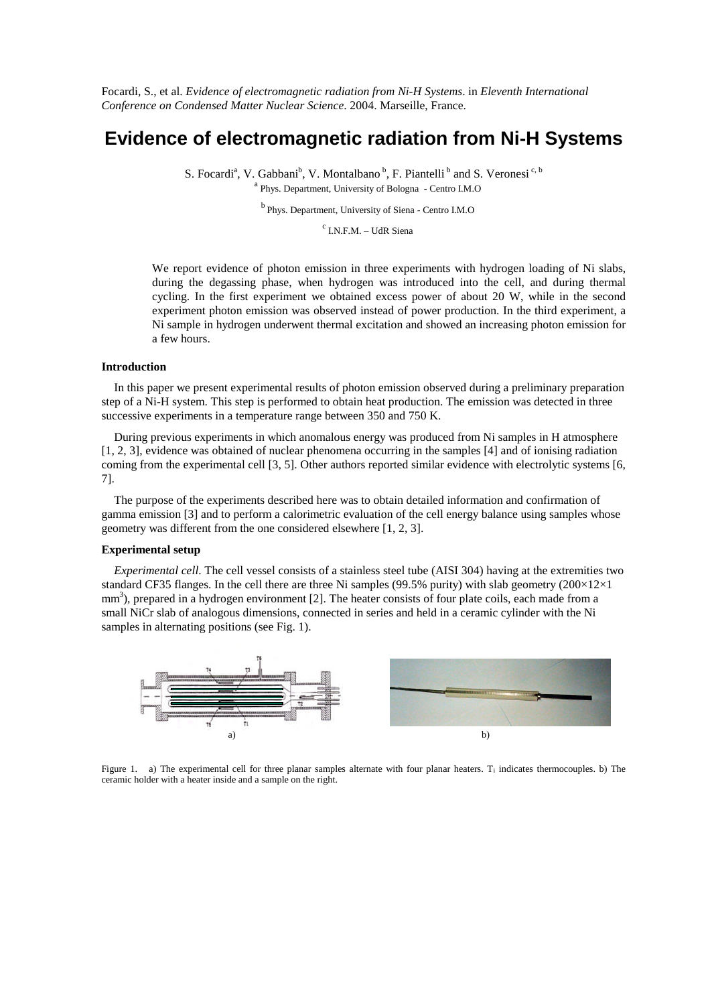Focardi, S., et al. *Evidence of electromagnetic radiation from Ni-H Systems*. in *Eleventh International Conference on Condensed Matter Nuclear Science*. 2004. Marseille, France.

# **Evidence of electromagnetic radiation from Ni-H Systems**

S. Focardi<sup>a</sup>, V. Gabbani<sup>b</sup>, V. Montalbano<sup>b</sup>, F. Piantelli<sup>b</sup> and S. Veronesi<sup>c, b</sup> <sup>a</sup> Phys. Department, University of Bologna - Centro I.M.O

<sup>b</sup> Phys. Department, University of Siena - Centro I.M.O

<sup>c</sup> I.N.F.M. – UdR Siena

We report evidence of photon emission in three experiments with hydrogen loading of Ni slabs, during the degassing phase, when hydrogen was introduced into the cell, and during thermal cycling. In the first experiment we obtained excess power of about 20 W, while in the second experiment photon emission was observed instead of power production. In the third experiment, a Ni sample in hydrogen underwent thermal excitation and showed an increasing photon emission for a few hours.

### **Introduction**

In this paper we present experimental results of photon emission observed during a preliminary preparation step of a Ni-H system. This step is performed to obtain heat production. The emission was detected in three successive experiments in a temperature range between 350 and 750 K.

During previous experiments in which anomalous energy was produced from Ni samples in H atmosphere [1, 2, 3], evidence was obtained of nuclear phenomena occurring in the samples [4] and of ionising radiation coming from the experimental cell [3, 5]. Other authors reported similar evidence with electrolytic systems [6, 7].

The purpose of the experiments described here was to obtain detailed information and confirmation of gamma emission [3] and to perform a calorimetric evaluation of the cell energy balance using samples whose geometry was different from the one considered elsewhere [1, 2, 3].

#### **Experimental setup**

*Experimental cell*. The cell vessel consists of a stainless steel tube (AISI 304) having at the extremities two standard CF35 flanges. In the cell there are three Ni samples (99.5% purity) with slab geometry (200 $\times$ 12 $\times$ 1 mm<sup>3</sup>), prepared in a hydrogen environment [2]. The heater consists of four plate coils, each made from a small NiCr slab of analogous dimensions, connected in series and held in a ceramic cylinder with the Ni samples in alternating positions (see Fig. 1).



Figure 1. a) The experimental cell for three planar samples alternate with four planar heaters. T<sub>i</sub> indicates thermocouples. b) The ceramic holder with a heater inside and a sample on the right.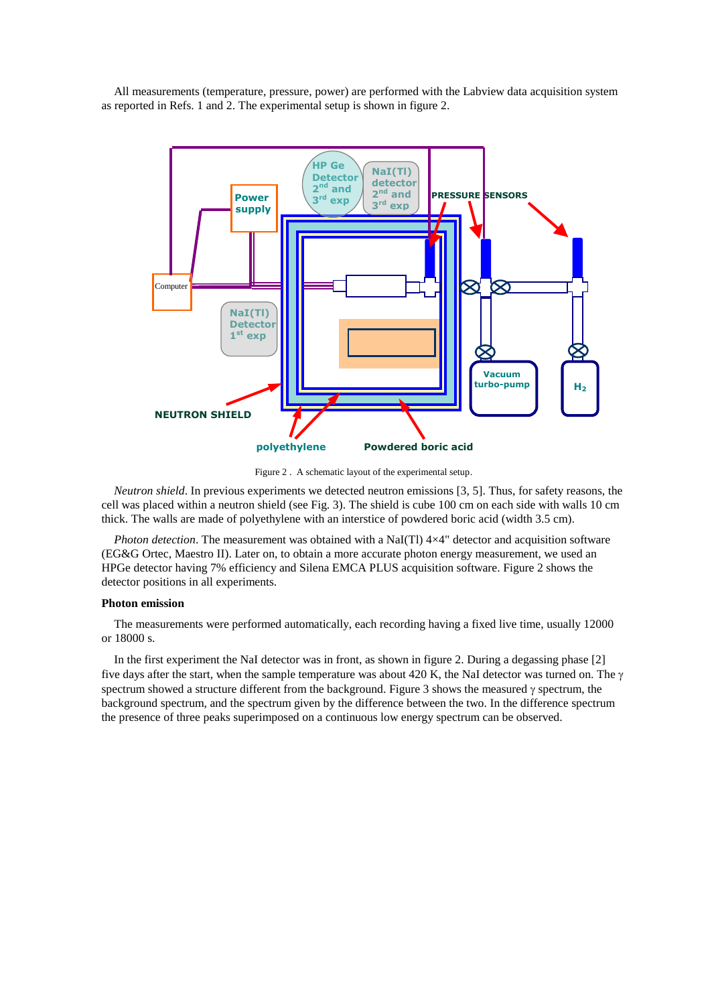All measurements (temperature, pressure, power) are performed with the Labview data acquisition system as reported in Refs. 1 and 2. The experimental setup is shown in figure 2.



Figure 2 . A schematic layout of the experimental setup.

*Neutron shield*. In previous experiments we detected neutron emissions [3, 5]. Thus, for safety reasons, the cell was placed within a neutron shield (see Fig. 3). The shield is cube 100 cm on each side with walls 10 cm thick. The walls are made of polyethylene with an interstice of powdered boric acid (width 3.5 cm).

*Photon detection*. The measurement was obtained with a NaI(Tl) 4×4" detector and acquisition software (EG&G Ortec, Maestro II). Later on, to obtain a more accurate photon energy measurement, we used an HPGe detector having 7% efficiency and Silena EMCA PLUS acquisition software. Figure 2 shows the detector positions in all experiments.

#### **Photon emission**

The measurements were performed automatically, each recording having a fixed live time, usually 12000 or 18000 s.

In the first experiment the NaI detector was in front, as shown in figure 2. During a degassing phase [2] five days after the start, when the sample temperature was about 420 K, the NaI detector was turned on. The  $\gamma$ spectrum showed a structure different from the background. Figure 3 shows the measured  $\gamma$  spectrum, the background spectrum, and the spectrum given by the difference between the two. In the difference spectrum the presence of three peaks superimposed on a continuous low energy spectrum can be observed.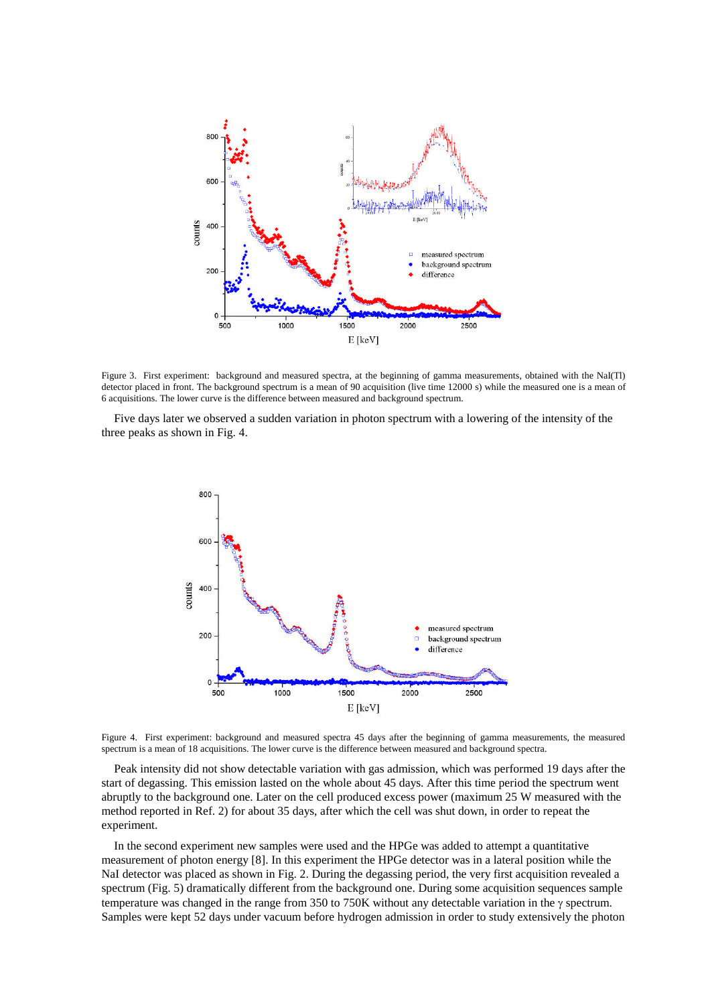

Figure 3. First experiment: background and measured spectra, at the beginning of gamma measurements, obtained with the NaI(Tl) detector placed in front. The background spectrum is a mean of 90 acquisition (live time 12000 s) while the measured one is a mean of 6 acquisitions. The lower curve is the difference between measured and background spectrum.

Five days later we observed a sudden variation in photon spectrum with a lowering of the intensity of the three peaks as shown in Fig. 4.



Figure 4. First experiment: background and measured spectra 45 days after the beginning of gamma measurements, the measured spectrum is a mean of 18 acquisitions. The lower curve is the difference between measured and background spectra.

Peak intensity did not show detectable variation with gas admission, which was performed 19 days after the start of degassing. This emission lasted on the whole about 45 days. After this time period the spectrum went abruptly to the background one. Later on the cell produced excess power (maximum 25 W measured with the method reported in Ref. 2) for about 35 days, after which the cell was shut down, in order to repeat the experiment.

In the second experiment new samples were used and the HPGe was added to attempt a quantitative measurement of photon energy [8]. In this experiment the HPGe detector was in a lateral position while the NaI detector was placed as shown in Fig. 2. During the degassing period, the very first acquisition revealed a spectrum (Fig. 5) dramatically different from the background one. During some acquisition sequences sample temperature was changed in the range from 350 to 750K without any detectable variation in the  $\gamma$  spectrum. Samples were kept 52 days under vacuum before hydrogen admission in order to study extensively the photon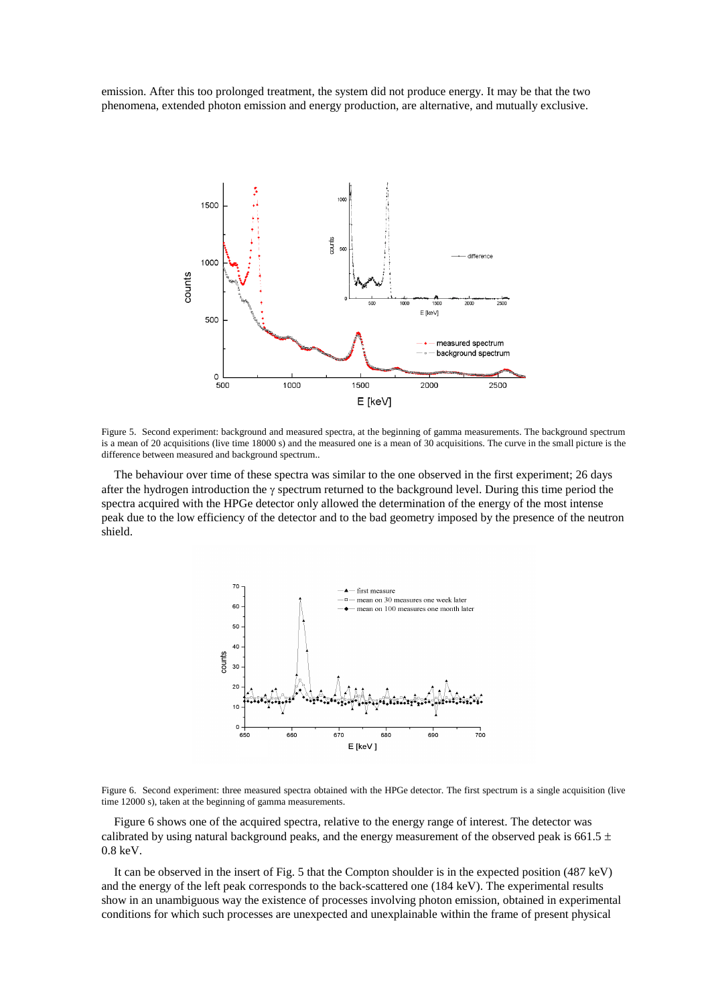emission. After this too prolonged treatment, the system did not produce energy. It may be that the two phenomena, extended photon emission and energy production, are alternative, and mutually exclusive.



Figure 5. Second experiment: background and measured spectra, at the beginning of gamma measurements. The background spectrum is a mean of 20 acquisitions (live time 18000 s) and the measured one is a mean of 30 acquisitions. The curve in the small picture is the difference between measured and background spectrum..

The behaviour over time of these spectra was similar to the one observed in the first experiment; 26 days after the hydrogen introduction the  $\gamma$  spectrum returned to the background level. During this time period the spectra acquired with the HPGe detector only allowed the determination of the energy of the most intense peak due to the low efficiency of the detector and to the bad geometry imposed by the presence of the neutron shield.



Figure 6. Second experiment: three measured spectra obtained with the HPGe detector. The first spectrum is a single acquisition (live time 12000 s), taken at the beginning of gamma measurements.

Figure 6 shows one of the acquired spectra, relative to the energy range of interest. The detector was calibrated by using natural background peaks, and the energy measurement of the observed peak is 661.5  $\pm$ 0.8 keV.

It can be observed in the insert of Fig. 5 that the Compton shoulder is in the expected position (487 keV) and the energy of the left peak corresponds to the back-scattered one (184 keV). The experimental results show in an unambiguous way the existence of processes involving photon emission, obtained in experimental conditions for which such processes are unexpected and unexplainable within the frame of present physical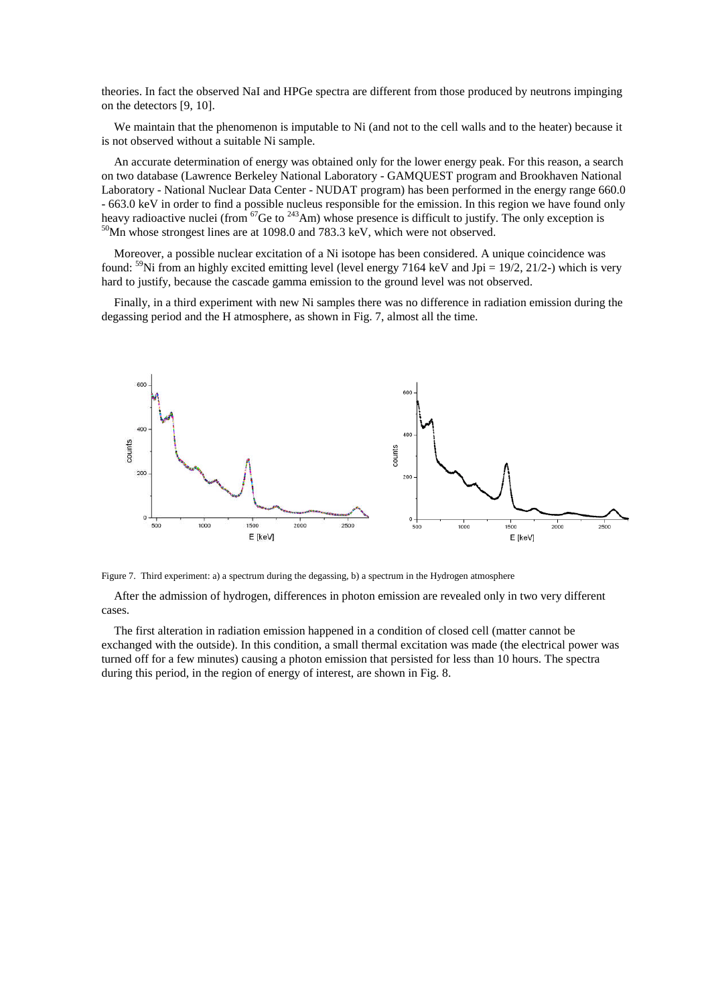theories. In fact the observed NaI and HPGe spectra are different from those produced by neutrons impinging on the detectors [9, 10].

We maintain that the phenomenon is imputable to Ni (and not to the cell walls and to the heater) because it is not observed without a suitable Ni sample.

An accurate determination of energy was obtained only for the lower energy peak. For this reason, a search on two database (Lawrence Berkeley National Laboratory - GAMQUEST program and Brookhaven National Laboratory - National Nuclear Data Center - NUDAT program) has been performed in the energy range 660.0 - 663.0 keV in order to find a possible nucleus responsible for the emission. In this region we have found only heavy radioactive nuclei (from  $^{67}$ Ge to  $^{243}$ Am) whose presence is difficult to justify. The only exception is <sup>50</sup>Mn whose strongest lines are at 1098.0 and 783.3 keV, which were not observed.

Moreover, a possible nuclear excitation of a Ni isotope has been considered. A unique coincidence was found:  $59$ Ni from an highly excited emitting level (level energy 7164 keV and Jpi = 19/2, 21/2-) which is very hard to justify, because the cascade gamma emission to the ground level was not observed.

Finally, in a third experiment with new Ni samples there was no difference in radiation emission during the degassing period and the H atmosphere, as shown in Fig. 7, almost all the time.



Figure 7. Third experiment: a) a spectrum during the degassing, b) a spectrum in the Hydrogen atmosphere

After the admission of hydrogen, differences in photon emission are revealed only in two very different cases.

The first alteration in radiation emission happened in a condition of closed cell (matter cannot be exchanged with the outside). In this condition, a small thermal excitation was made (the electrical power was turned off for a few minutes) causing a photon emission that persisted for less than 10 hours. The spectra during this period, in the region of energy of interest, are shown in Fig. 8.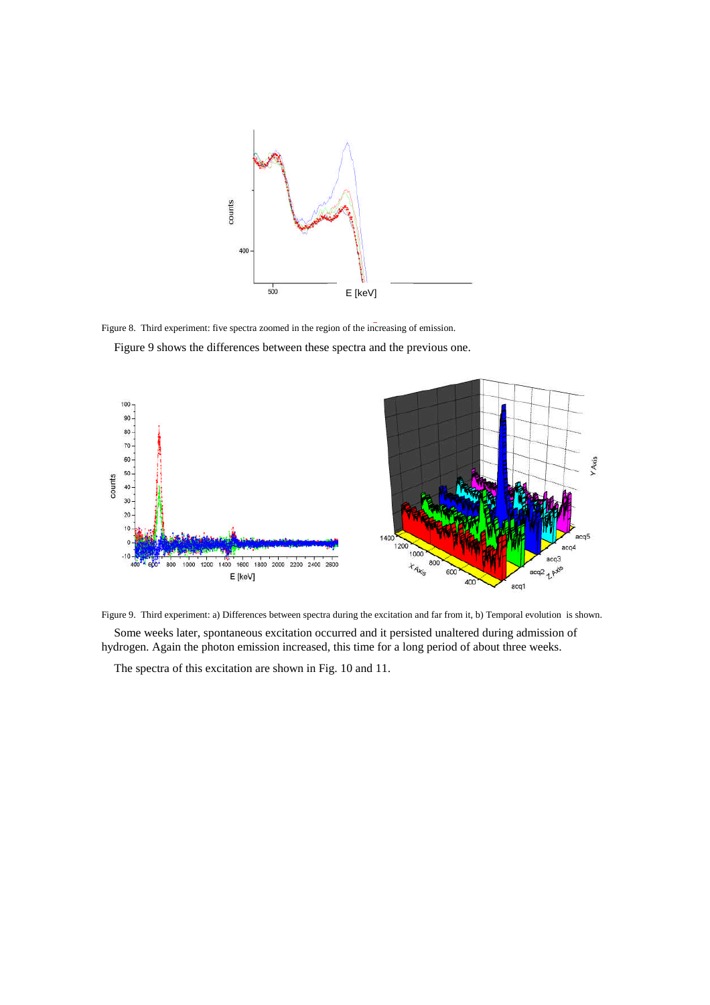

Figure 8. Third experiment: five spectra zoomed in the region of the increasing of emission.

Figure 9 shows the differences between these spectra and the previous one.



Figure 9. Third experiment: a) Differences between spectra during the excitation and far from it, b) Temporal evolution is shown.

Some weeks later, spontaneous excitation occurred and it persisted unaltered during admission of hydrogen. Again the photon emission increased, this time for a long period of about three weeks.

The spectra of this excitation are shown in Fig. 10 and 11.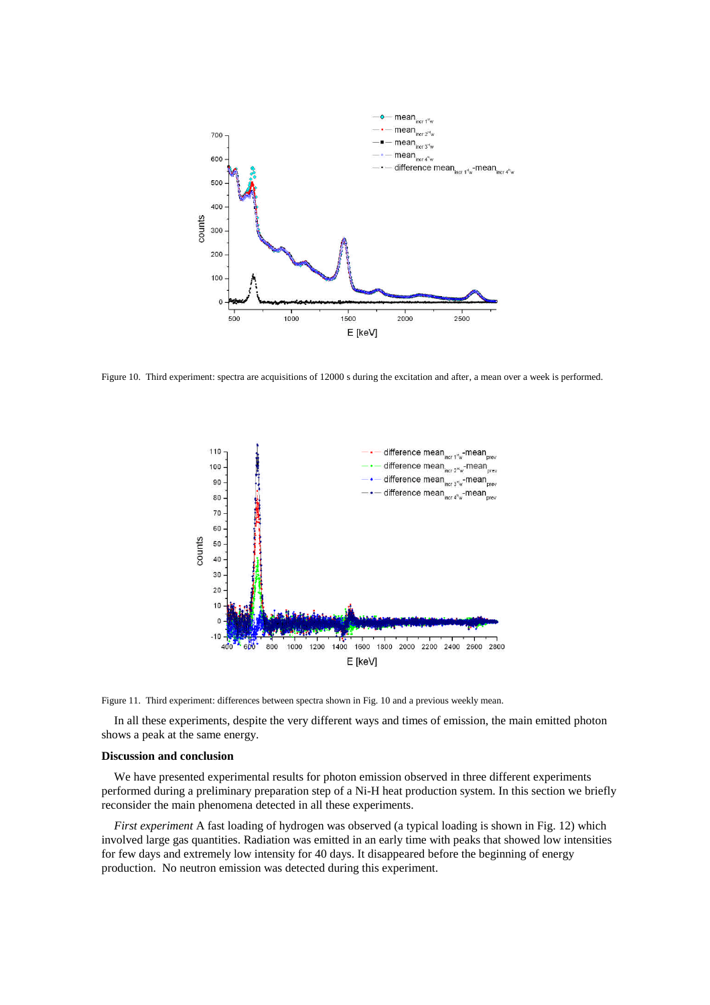

Figure 10. Third experiment: spectra are acquisitions of 12000 s during the excitation and after, a mean over a week is performed.



Figure 11. Third experiment: differences between spectra shown in Fig. 10 and a previous weekly mean.

In all these experiments, despite the very different ways and times of emission, the main emitted photon shows a peak at the same energy.

#### **Discussion and conclusion**

We have presented experimental results for photon emission observed in three different experiments performed during a preliminary preparation step of a Ni-H heat production system. In this section we briefly reconsider the main phenomena detected in all these experiments.

*First experiment* A fast loading of hydrogen was observed (a typical loading is shown in Fig. 12) which involved large gas quantities. Radiation was emitted in an early time with peaks that showed low intensities for few days and extremely low intensity for 40 days. It disappeared before the beginning of energy production. No neutron emission was detected during this experiment.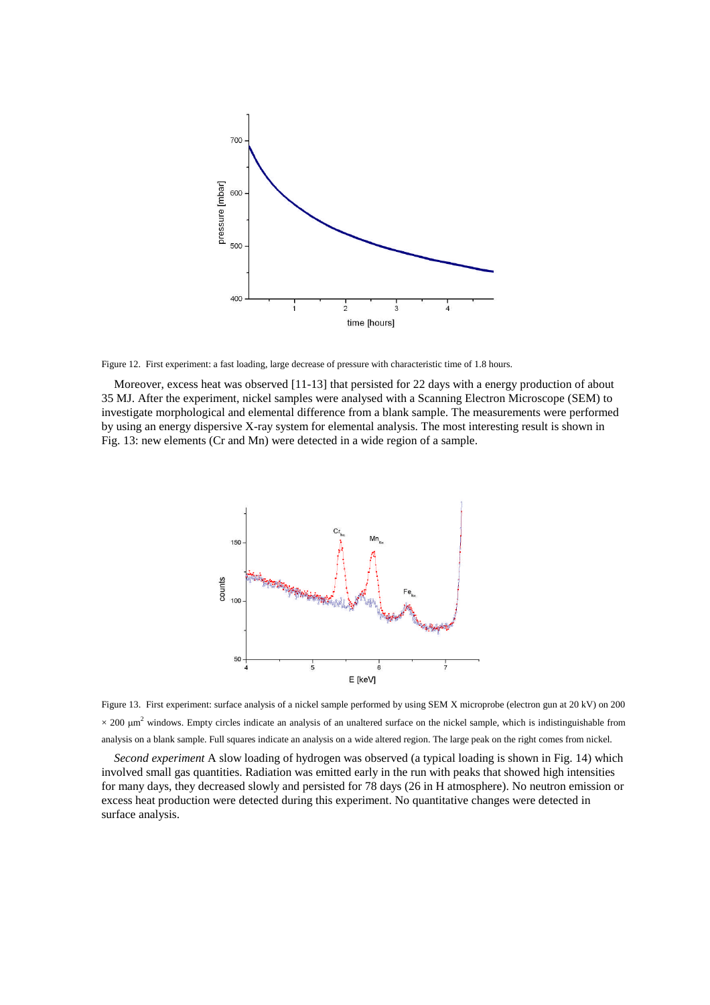

Figure 12. First experiment: a fast loading, large decrease of pressure with characteristic time of 1.8 hours.

Moreover, excess heat was observed [11-13] that persisted for 22 days with a energy production of about 35 MJ. After the experiment, nickel samples were analysed with a Scanning Electron Microscope (SEM) to investigate morphological and elemental difference from a blank sample. The measurements were performed by using an energy dispersive X-ray system for elemental analysis. The most interesting result is shown in Fig. 13: new elements (Cr and Mn) were detected in a wide region of a sample.



Figure 13. First experiment: surface analysis of a nickel sample performed by using SEM X microprobe (electron gun at 20 kV) on 200  $\times$  200  $\mu$ m<sup>2</sup> windows. Empty circles indicate an analysis of an unaltered surface on the nickel sample, which is indistinguishable from analysis on a blank sample. Full squares indicate an analysis on a wide altered region. The large peak on the right comes from nickel.

*Second experiment* A slow loading of hydrogen was observed (a typical loading is shown in Fig. 14) which involved small gas quantities. Radiation was emitted early in the run with peaks that showed high intensities for many days, they decreased slowly and persisted for 78 days (26 in H atmosphere). No neutron emission or excess heat production were detected during this experiment. No quantitative changes were detected in surface analysis.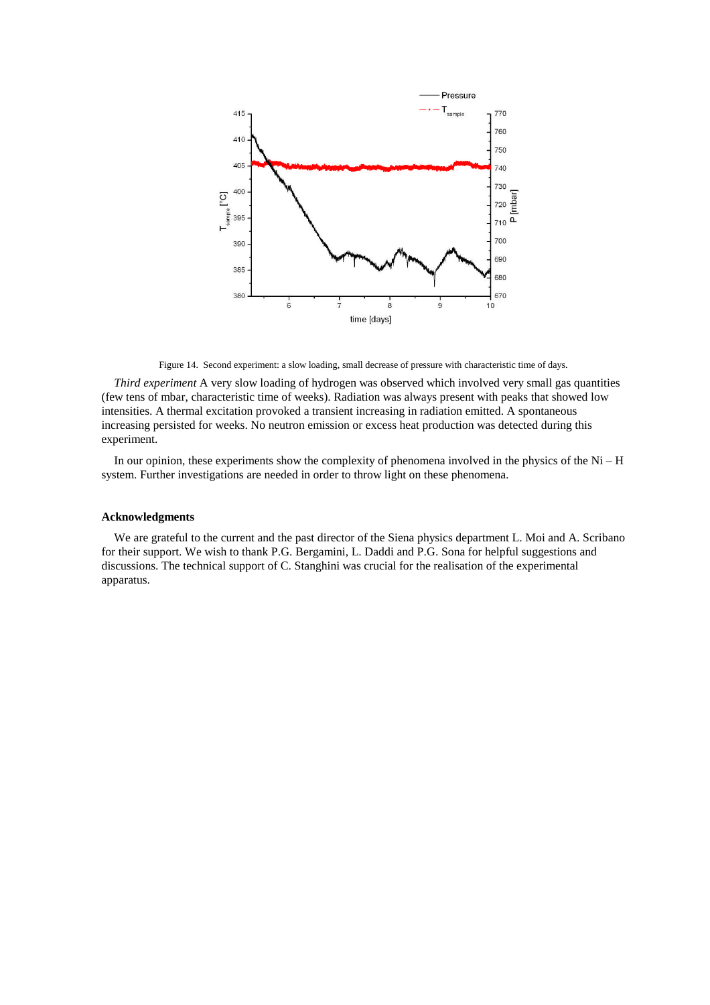

Figure 14. Second experiment: a slow loading, small decrease of pressure with characteristic time of days.

*Third experiment* A very slow loading of hydrogen was observed which involved very small gas quantities (few tens of mbar, characteristic time of weeks). Radiation was always present with peaks that showed low intensities. A thermal excitation provoked a transient increasing in radiation emitted. A spontaneous increasing persisted for weeks. No neutron emission or excess heat production was detected during this experiment.

In our opinion, these experiments show the complexity of phenomena involved in the physics of the Ni –H system. Further investigations are needed in order to throw light on these phenomena.

## **Acknowledgments**

We are grateful to the current and the past director of the Siena physics department L. Moi and A. Scribano for their support. We wish to thank P.G. Bergamini, L. Daddi and P.G. Sona for helpful suggestions and discussions. The technical support of C. Stanghini was crucial for the realisation of the experimental apparatus.